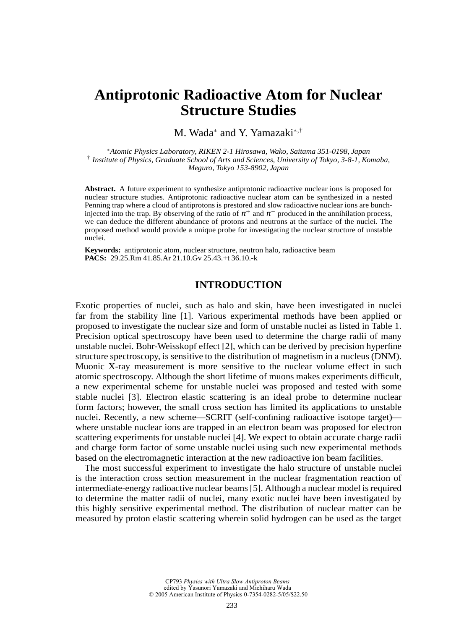# **Antiprotonic Radioactive Atom for Nuclear Structure Studies**

M. Wada<sup>∗</sup> and Y. Yamazaki∗,†

<sup>∗</sup>*Atomic Physics Laboratory, RIKEN 2-1 Hirosawa, Wako, Saitama 351-0198, Japan* † *Institute of Physics, Graduate School of Arts and Sciences, University of Tokyo, 3-8-1, Komaba, Meguro, Tokyo 153-8902, Japan*

**Abstract.** A future experiment to synthesize antiprotonic radioactive nuclear ions is proposed for nuclear structure studies. Antiprotonic radioactive nuclear atom can be synthesized in a nested Penning trap where a cloud of antiprotons is prestored and slow radioactive nuclear ions are bunchinjected into the trap. By observing of the ratio of  $\pi^+$  and  $\pi^-$  produced in the annihilation process, we can deduce the different abundance of protons and neutrons at the surface of the nuclei. The proposed method would provide a unique probe for investigating the nuclear structure of unstable nuclei.

**Keywords:** antiprotonic atom, nuclear structure, neutron halo, radioactive beam **PACS:** 29.25.Rm 41.85.Ar 21.10.Gv 25.43.+t 36.10.-k

# **INTRODUCTION**

Exotic properties of nuclei, such as halo and skin, have been investigated in nuclei far from the stability line [1]. Various experimental methods have been applied or proposed to investigate the nuclear size and form of unstable nuclei as listed in Table 1. Precision optical spectroscopy have been used to determine the charge radii of many unstable nuclei. Bohr-Weisskopf effect [2], which can be derived by precision hyperfine structure spectroscopy, is sensitive to the distribution of magnetism in a nucleus (DNM). Muonic X-ray measurement is more sensitive to the nuclear volume effect in such atomic spectroscopy. Although the short lifetime of muons makes experiments difficult, a new experimental scheme for unstable nuclei was proposed and tested with some stable nuclei [3]. Electron elastic scattering is an ideal probe to determine nuclear form factors; however, the small cross section has limited its applications to unstable nuclei. Recently, a new scheme—SCRIT (self-confining radioactive isotope target) where unstable nuclear ions are trapped in an electron beam was proposed for electron scattering experiments for unstable nuclei [4]. We expect to obtain accurate charge radii and charge form factor of some unstable nuclei using such new experimental methods based on the electromagnetic interaction at the new radioactive ion beam facilities.

The most successful experiment to investigate the halo structure of unstable nuclei is the interaction cross section measurement in the nuclear fragmentation reaction of intermediate-energy radioactive nuclear beams [5]. Although a nuclear model is required to determine the matter radii of nuclei, many exotic nuclei have been investigated by this highly sensitive experimental method. The distribution of nuclear matter can be measured by proton elastic scattering wherein solid hydrogen can be used as the target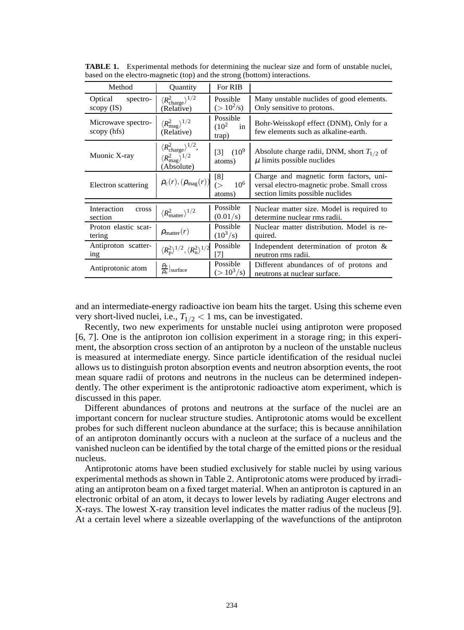| Method                              | Quantity                                                                                             | For RIB                                  |                                                                                                                          |  |  |  |
|-------------------------------------|------------------------------------------------------------------------------------------------------|------------------------------------------|--------------------------------------------------------------------------------------------------------------------------|--|--|--|
| Optical<br>spectro-<br>scopy $(IS)$ | $\langle R_{\text{charge}}^2 \rangle^{1/2}$<br>(Relative)                                            | Possible<br>$(>10^2/s)$                  | Many unstable nuclides of good elements.<br>Only sensitive to protons.                                                   |  |  |  |
| Microwave spectro-<br>scopy (hfs)   | $\langle R_{\rm mag}^2 \rangle^{1/2}$<br>(Relative)                                                  | Possible<br>$(10^2$<br>in<br>trap)       | Bohr-Weisskopf effect (DNM), Only for a<br>few elements such as alkaline-earth.                                          |  |  |  |
| Muonic X-ray                        | $\langle R_{\text{charge}}^2 \rangle^{1/2}$ ,<br>$\langle R_{\rm mag}^2 \rangle^{1/2}$<br>(Absolute) | $(10^{9}$<br>$\lceil 3 \rceil$<br>atoms) | Absolute charge radii, DNM, short $T_{1/2}$ of<br>$\mu$ limits possible nuclides                                         |  |  |  |
| Electron scattering                 | $\rho_{\rm c}(r),(\rho_{\rm mag}(r))$                                                                | [8]<br>$10^{6}$<br>(<br>atoms)           | Charge and magnetic form factors, uni-<br>versal electro-magnetic probe. Small cross<br>section limits possible nuclides |  |  |  |
| Interaction<br>cross<br>section     | $\langle R_{\text{matter}}^2 \rangle^{1/2}$                                                          | Possible<br>(0.01/s)                     | Nuclear matter size. Model is required to<br>determine nuclear rms radii.                                                |  |  |  |
| Proton elastic scat-<br>tering      | $\rho_{\text{matter}}(r)$                                                                            | Possible<br>$(10^3/s)$                   | Nuclear matter distribution. Model is re-<br>quired.                                                                     |  |  |  |
| Antiproton scatter-<br>ing          | $\langle R_{\rm p}^2 \rangle^{1/2}, \langle R_{\rm n}^2 \rangle^{1/2}$                               | Possible<br>[7]                          | Independent determination of proton $\&$<br>neutron rms radii.                                                           |  |  |  |
| Antiprotonic atom                   | $\frac{\rho_{\rm p}}{\rho_{\rm n}}$ surface                                                          | Possible<br>$(>10^3/s)$                  | Different abundances of of protons and<br>neutrons at nuclear surface.                                                   |  |  |  |

**TABLE 1.** Experimental methods for determining the nuclear size and form of unstable nuclei, based on the electro-magnetic (top) and the strong (bottom) interactions.

and an intermediate-energy radioactive ion beam hits the target. Using this scheme even very short-lived nuclei, i.e.,  $T_{1/2}$  < 1 ms, can be investigated.

Recently, two new experiments for unstable nuclei using antiproton were proposed [6, 7]. One is the antiproton ion collision experiment in a storage ring; in this experiment, the absorption cross section of an antiproton by a nucleon of the unstable nucleus is measured at intermediate energy. Since particle identification of the residual nuclei allows us to distinguish proton absorption events and neutron absorption events, the root mean square radii of protons and neutrons in the nucleus can be determined independently. The other experiment is the antiprotonic radioactive atom experiment, which is discussed in this paper.

Different abundances of protons and neutrons at the surface of the nuclei are an important concern for nuclear structure studies. Antiprotonic atoms would be excellent probes for such different nucleon abundance at the surface; this is because annihilation of an antiproton dominantly occurs with a nucleon at the surface of a nucleus and the vanished nucleon can be identified by the total charge of the emitted pions or the residual nucleus.

Antiprotonic atoms have been studied exclusively for stable nuclei by using various experimental methods as shown in Table 2. Antiprotonic atoms were produced by irradiating an antiproton beam on a fixed target material. When an antiproton is captured in an electronic orbital of an atom, it decays to lower levels by radiating Auger electrons and X-rays. The lowest X-ray transition level indicates the matter radius of the nucleus [9]. At a certain level where a sizeable overlapping of the wavefunctions of the antiproton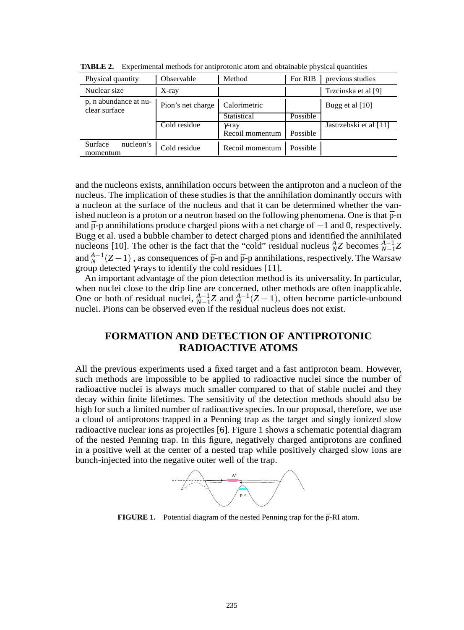| Physical quantity                      | Observable        | Method          | For RIB  | previous studies       |  |
|----------------------------------------|-------------------|-----------------|----------|------------------------|--|
| Nuclear size                           | X-ray             |                 |          | Trzcinska et al [9]    |  |
| p, n abundance at nu-<br>clear surface | Pion's net charge | Calorimetric    |          | Bugg et al [10]        |  |
|                                        |                   | Statistical     | Possible |                        |  |
|                                        | Cold residue      | γ-ray           |          | Jastrzebski et al [11] |  |
|                                        |                   | Recoil momentum | Possible |                        |  |
| Surface<br>nucleon's<br>momentum       | Cold residue      | Recoil momentum | Possible |                        |  |

**TABLE 2.** Experimental methods for antiprotonic atom and obtainable physical quantities

and the nucleons exists, annihilation occurs between the antiproton and a nucleon of the nucleus. The implication of these studies is that the annihilation dominantly occurs with a nucleon at the surface of the nucleus and that it can be determined whether the vanished nucleon is a proton or a neutron based on the following phenomena. One is that  $\bar{p}-n$ and  $\bar{p}$ -p annihilations produce charged pions with a net charge of  $-1$  and 0, respectively. Bugg et al. used a bubble chamber to detect charged pions and identified the annihilated nucleons [10]. The other is the fact that the "cold" residual nucleus  ${}_{N}^{A}Z$  becomes  ${}_{N-1}^{A-1}Z$ and  $^{A-1}_{N}(Z-1)$ , as consequences of  $\bar{p}$ -n and  $\bar{p}$ -p annihilations, respectively. The Warsaw group detected <sup>γ</sup>-rays to identify the cold residues [11].

An important advantage of the pion detection method is its universality. In particular, when nuclei close to the drip line are concerned, other methods are often inapplicable. One or both of residual nuclei,  $^{A-1}_{N-1}Z$  and  $^{A-1}_{N}(Z-1)$ , often become particle-unbound nuclei. Pions can be observed even if the residual nucleus does not exist.

# **FORMATION AND DETECTION OF ANTIPROTONIC RADIOACTIVE ATOMS**

All the previous experiments used a fixed target and a fast antiproton beam. However, such methods are impossible to be applied to radioactive nuclei since the number of radioactive nuclei is always much smaller compared to that of stable nuclei and they decay within finite lifetimes. The sensitivity of the detection methods should also be high for such a limited number of radioactive species. In our proposal, therefore, we use a cloud of antiprotons trapped in a Penning trap as the target and singly ionized slow radioactive nuclear ions as projectiles [6]. Figure 1 shows a schematic potential diagram of the nested Penning trap. In this figure, negatively charged antiprotons are confined in a positive well at the center of a nested trap while positively charged slow ions are bunch-injected into the negative outer well of the trap.



**FIGURE 1.** Potential diagram of the nested Penning trap for the  $\bar{p}$ -RI atom.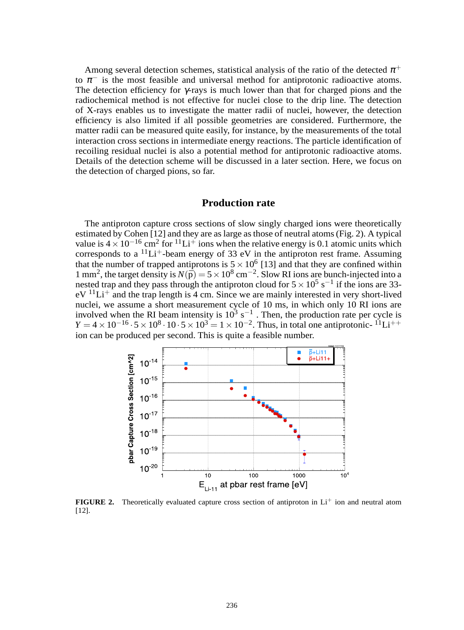Among several detection schemes, statistical analysis of the ratio of the detected  $\pi^+$ to  $\pi^-$  is the most feasible and universal method for antiprotonic radioactive atoms. The detection efficiency for  $\gamma$ -rays is much lower than that for charged pions and the radiochemical method is not effective for nuclei close to the drip line. The detection of X-rays enables us to investigate the matter radii of nuclei, however, the detection efficiency is also limited if all possible geometries are considered. Furthermore, the matter radii can be measured quite easily, for instance, by the measurements of the total interaction cross sections in intermediate energy reactions. The particle identification of recoiling residual nuclei is also a potential method for antiprotonic radioactive atoms. Details of the detection scheme will be discussed in a later section. Here, we focus on the detection of charged pions, so far.

#### **Production rate**

The antiproton capture cross sections of slow singly charged ions were theoretically estimated by Cohen [12] and they are as large as those of neutral atoms (Fig. 2). A typical value is  $4 \times 10^{-16}$  cm<sup>2</sup> for <sup>11</sup>Li<sup>+</sup> ions when the relative energy is 0.1 atomic units which corresponds to a  ${}^{11}Li^+$ -beam energy of 33 eV in the antiproton rest frame. Assuming that the number of trapped antiprotons is  $5 \times 10^6$  [13] and that they are confined within 1 mm<sup>2</sup>, the target density is  $N(\bar{p}) = 5 \times 10^8$  cm<sup>-2</sup>. Slow RI ions are bunch-injected into a nested trap and they pass through the antiproton cloud for  $5 \times 10^5$  s<sup>-1</sup> if the ions are 33 $eV$ <sup>11</sup>Li<sup>+</sup> and the trap length is 4 cm. Since we are mainly interested in very short-lived nuclei, we assume a short measurement cycle of 10 ms, in which only 10 RI ions are involved when the RI beam intensity is  $10^3$  s<sup>-1</sup>. Then, the production rate per cycle is  $Y = 4 \times 10^{-16} \cdot 5 \times 10^8 \cdot 10 \cdot 5 \times 10^3 = 1 \times 10^{-2}$ . Thus, in total one antiprotonic- <sup>11</sup>Li<sup>++</sup> ion can be produced per second. This is quite a feasible number.



**FIGURE 2.** Theoretically evaluated capture cross section of antiproton in  $Li<sup>+</sup>$  ion and neutral atom [12].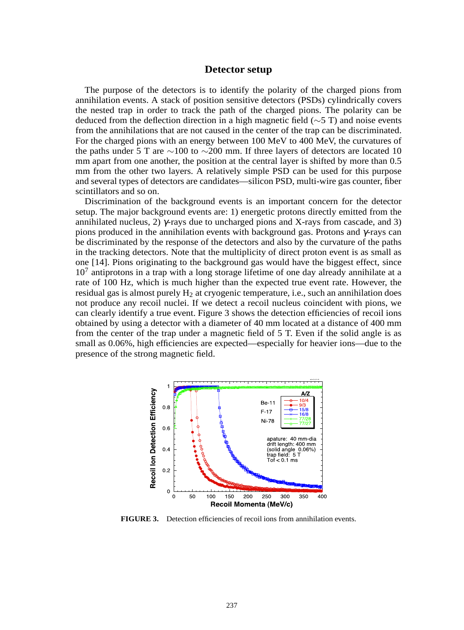#### **Detector setup**

The purpose of the detectors is to identify the polarity of the charged pions from annihilation events. A stack of position sensitive detectors (PSDs) cylindrically covers the nested trap in order to track the path of the charged pions. The polarity can be deduced from the deflection direction in a high magnetic field (∼5 T) and noise events from the annihilations that are not caused in the center of the trap can be discriminated. For the charged pions with an energy between 100 MeV to 400 MeV, the curvatures of the paths under 5 T are ∼100 to ∼200 mm. If three layers of detectors are located 10 mm apart from one another, the position at the central layer is shifted by more than 0.5 mm from the other two layers. A relatively simple PSD can be used for this purpose and several types of detectors are candidates—silicon PSD, multi-wire gas counter, fiber scintillators and so on.

Discrimination of the background events is an important concern for the detector setup. The major background events are: 1) energetic protons directly emitted from the annihilated nucleus, 2)  $\gamma$ -rays due to uncharged pions and X-rays from cascade, and 3) pions produced in the annihilation events with background gas. Protons and  $\gamma$ -rays can be discriminated by the response of the detectors and also by the curvature of the paths in the tracking detectors. Note that the multiplicity of direct proton event is as small as one [14]. Pions originating to the background gas would have the biggest effect, since  $10<sup>7</sup>$  antiprotons in a trap with a long storage lifetime of one day already annihilate at a rate of 100 Hz, which is much higher than the expected true event rate. However, the residual gas is almost purely  $H_2$  at cryogenic temperature, i.e., such an annihilation does not produce any recoil nuclei. If we detect a recoil nucleus coincident with pions, we can clearly identify a true event. Figure 3 shows the detection efficiencies of recoil ions obtained by using a detector with a diameter of 40 mm located at a distance of 400 mm from the center of the trap under a magnetic field of 5 T. Even if the solid angle is as small as 0.06%, high efficiencies are expected—especially for heavier ions—due to the presence of the strong magnetic field.



**FIGURE 3.** Detection efficiencies of recoil ions from annihilation events.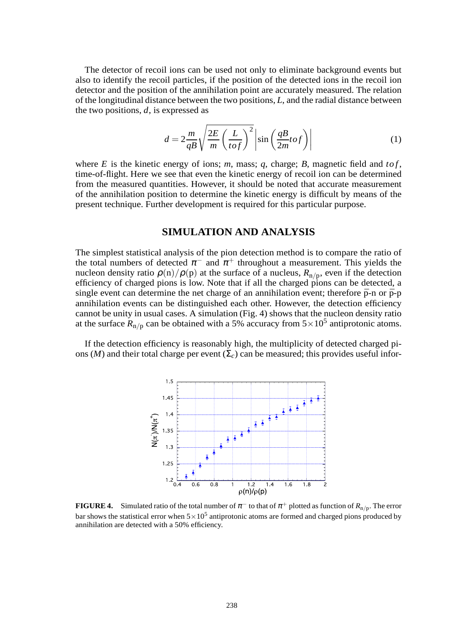The detector of recoil ions can be used not only to eliminate background events but also to identify the recoil particles, if the position of the detected ions in the recoil ion detector and the position of the annihilation point are accurately measured. The relation of the longitudinal distance between the two positions, *L*, and the radial distance between the two positions, *d*, is expressed as

$$
d = 2\frac{m}{qB}\sqrt{\frac{2E}{m}\left(\frac{L}{tof}\right)^2}\left|\sin\left(\frac{qB}{2m}tof\right)\right|
$$
 (1)

where  $E$  is the kinetic energy of ions;  $m$ , mass;  $q$ , charge;  $B$ , magnetic field and  $to f$ , time-of-flight. Here we see that even the kinetic energy of recoil ion can be determined from the measured quantities. However, it should be noted that accurate measurement of the annihilation position to determine the kinetic energy is difficult by means of the present technique. Further development is required for this particular purpose.

#### **SIMULATION AND ANALYSIS**

The simplest statistical analysis of the pion detection method is to compare the ratio of the total numbers of detected  $\pi^-$  and  $\pi^+$  throughout a measurement. This yields the nucleon density ratio  $\rho(n)/\rho(p)$  at the surface of a nucleus,  $R_{n/p}$ , even if the detection efficiency of charged pions is low. Note that if all the charged pions can be detected, a single event can determine the net charge of an annihilation event; therefore  $\bar{p}$ -n or  $\bar{p}$ -p annihilation events can be distinguished each other. However, the detection efficiency cannot be unity in usual cases. A simulation (Fig. 4) shows that the nucleon density ratio at the surface  $R_{\text{n/p}}$  can be obtained with a 5% accuracy from  $5 \times 10^5$  antiprotonic atoms.

If the detection efficiency is reasonably high, the multiplicity of detected charged pions (*M*) and their total charge per event  $(\Sigma_c)$  can be measured; this provides useful infor-



**FIGURE 4.** Simulated ratio of the total number of  $\pi^-$  to that of  $\pi^+$  plotted as function of  $R_{n/p}$ . The error bar shows the statistical error when  $5\times10^5$  antiprotonic atoms are formed and charged pions produced by annihilation are detected with a 50% efficiency.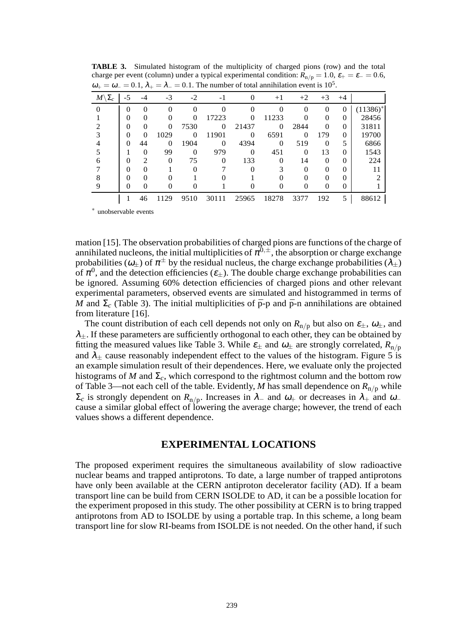| $M\backslash \Sigma_c$ | -5 |               | $-3$     | $-2$     | -1       |          | $+1$     | $+2$     | $+3$     | $+4$         |               |
|------------------------|----|---------------|----------|----------|----------|----------|----------|----------|----------|--------------|---------------|
|                        | 0  | 0             | $\Omega$ |          |          |          |          | 0        | $\Omega$ | 0            | $(11386)^{*}$ |
|                        |    | 0             | 0        |          | 17223    |          | 11233    |          |          | 0            | 28456         |
|                        | 0  | 0             | $\Omega$ | 7530     | $\Omega$ | 21437    | $\Omega$ | 2844     | $\Omega$ | $\mathbf{0}$ | 31811         |
|                        | 0  | $\Omega$      | 1029     | 0        | 11901    | $\Omega$ | 6591     | 0        | 179      | $\mathbf{0}$ | 19700         |
|                        | 0  | 44            | 0        | 1904     | $\Omega$ | 4394     | 0        | 519      | $\Omega$ | 5            | 6866          |
|                        |    | 0             | 99       | 0        | 979      | $\Omega$ | 451      | 0        | 13       | $\mathbf{0}$ | 1543          |
|                        |    | $\mathcal{D}$ | $\Omega$ | 75       | $\Omega$ | 133      |          | 14       | $\Omega$ | 0            | 224           |
|                        |    | 0             |          | $\Omega$ |          |          |          | $\Omega$ | $\Omega$ | $\Omega$     | 11            |
|                        |    | 0             |          |          |          |          |          | 0        | 0        | $\Omega$     |               |
|                        |    |               |          |          |          |          |          |          |          | $\theta$     |               |
|                        |    | 46            | 1129     | 9510     | 30111    | 25965    | 18278    | 3377     | 192      | 5            | 88612         |

**TABLE 3.** Simulated histogram of the multiplicity of charged pions (row) and the total charge per event (column) under a typical experimental condition:  $R_{n/p} = 1.0$ ,  $\varepsilon_{+} = \varepsilon_{-} = 0.6$ ,  $\omega_+ = \omega_- = 0.1, \lambda_+ = \lambda_- = 0.1$ . The number of total annihilation event is 10<sup>5</sup> .

<sup>∗</sup> unobservable events

mation [15]. The observation probabilities of charged pions are functions of the charge of annihilated nucleons, the initial multiplicities of  $\pi^{0,\pm}$ , the absorption or charge exchange probabilities ( $\omega_{\pm}$ ) of  $\pi^{\pm}$  by the residual nucleus, the charge exchange probabilities ( $\lambda_{\pm}$ ) of  $\pi^0$ , and the detection efficiencies ( $\varepsilon_{\pm}$ ). The double charge exchange probabilities can be ignored. Assuming 60% detection efficiencies of charged pions and other relevant experimental parameters, observed events are simulated and histogrammed in terms of *M* and  $\Sigma_c$  (Table 3). The initial multiplicities of  $\bar{p}$ -p and  $\bar{p}$ -n annihilations are obtained from literature [16].

The count distribution of each cell depends not only on  $R_{n/p}$  but also on  $\varepsilon_{\pm}$ ,  $\omega_{\pm}$ , and  $\lambda_{+}$ . If these parameters are sufficiently orthogonal to each other, they can be obtained by fitting the measured values like Table 3. While  $\varepsilon_{\pm}$  and  $\omega_{\pm}$  are strongly correlated,  $R_{\text{n/p}}$ and  $\lambda_{\pm}$  cause reasonably independent effect to the values of the histogram. Figure 5 is an example simulation result of their dependences. Here, we evaluate only the projected histograms of  $M$  and  $\Sigma_c$ , which correspond to the rightmost column and the bottom row of Table 3—not each cell of the table. Evidently, *M* has small dependence on  $R_{n/p}$  while  $\Sigma_c$  is strongly dependent on  $R_{\text{n/p}}$ . Increases in  $\lambda_-$  and  $\omega_+$  or decreases in  $\lambda_+$  and  $\omega_$ cause a similar global effect of lowering the average charge; however, the trend of each values shows a different dependence.

## **EXPERIMENTAL LOCATIONS**

The proposed experiment requires the simultaneous availability of slow radioactive nuclear beams and trapped antiprotons. To date, a large number of trapped antiprotons have only been available at the CERN antiproton decelerator facility (AD). If a beam transport line can be build from CERN ISOLDE to AD, it can be a possible location for the experiment proposed in this study. The other possibility at CERN is to bring trapped antiprotons from AD to ISOLDE by using a portable trap. In this scheme, a long beam transport line for slow RI-beams from ISOLDE is not needed. On the other hand, if such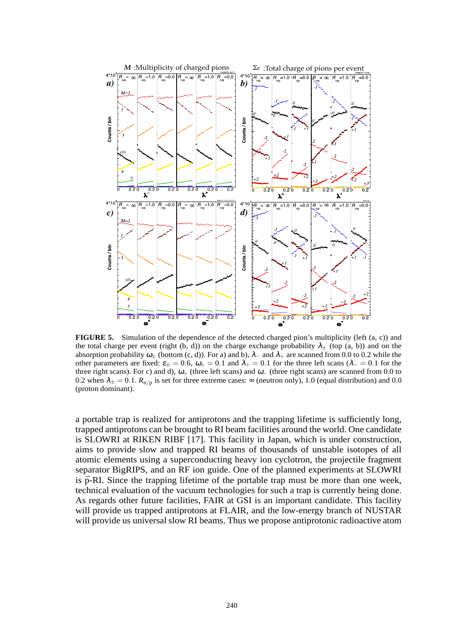

**FIGURE 5.** Simulation of the dependence of the detected charged pion's multiplicity (left (a, c)) and the total charge per event (right (b, d)) on the charge exchange probability  $\lambda_{\pm}$  (top (a, b)) and on the absorption probability  $\omega_{\pm}$  (bottom (c, d)). For a) and b),  $\lambda_{-}$  and  $\lambda_{+}$  are scanned from 0.0 to 0.2 while the other parameters are fixed:  $\epsilon_{\pm} = 0.6$ ,  $\omega_{\pm} = 0.1$  and  $\lambda_{+} = 0.1$  for the three left scans ( $\lambda_{-} = 0.1$  for the three right scans). For c) and d),  $\omega_+$  (three left scans) and  $\omega_-$  (three right scans) are scanned from 0.0 to 0.2 when  $\lambda_{\pm} = 0.1$ .  $R_{n/p}$  is set for three extreme cases:  $\infty$  (neutron only), 1.0 (equal distribution) and 0.0 (proton dominant).

a portable trap is realized for antiprotons and the trapping lifetime is sufficiently long, trapped antiprotons can be brought to RI beam facilities around the world. One candidate is SLOWRI at RIKEN RIBF [17]. This facility in Japan, which is under construction, aims to provide slow and trapped RI beams of thousands of unstable isotopes of all atomic elements using a superconducting heavy ion cyclotron, the projectile fragment separator BigRIPS, and an RF ion guide. One of the planned experiments at SLOWRI is  $\bar{p}$ -RI. Since the trapping lifetime of the portable trap must be more than one week, technical evaluation of the vacuum technologies for such a trap is currently being done. As regards other future facilities, FAIR at GSI is an important candidate. This facility will provide us trapped antiprotons at FLAIR, and the low-energy branch of NUSTAR will provide us universal slow RI beams. Thus we propose antiprotonic radioactive atom